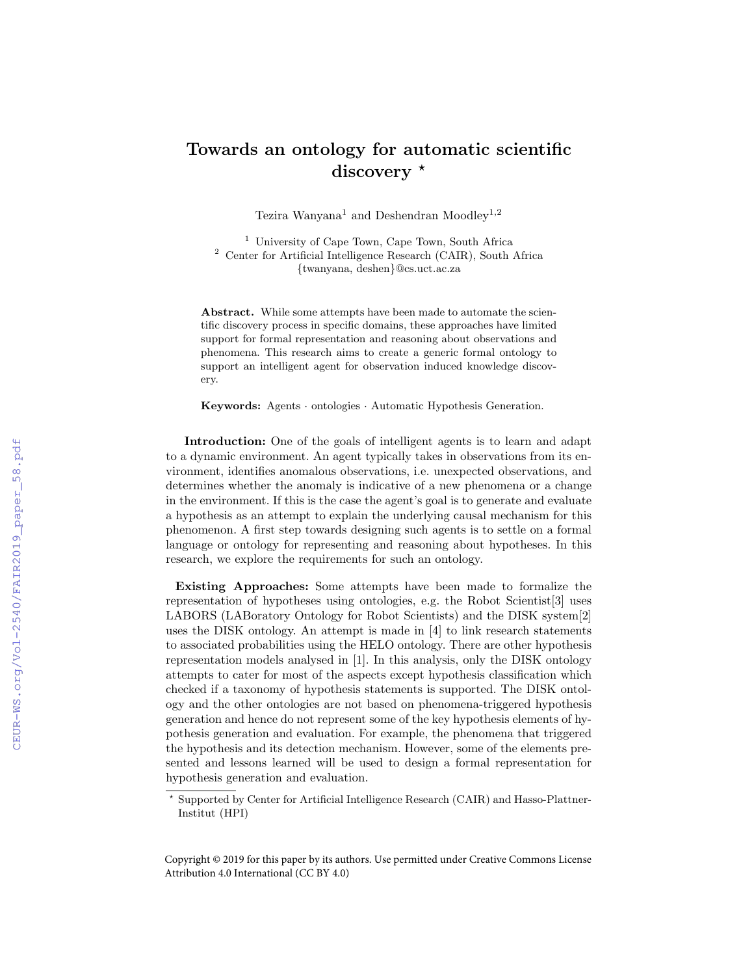## Towards an ontology for automatic scientific  $discovery *$

Tezira Wanyana<br/> $^1$  and Deshendran  $\mathsf{Moodlev}^{1,2}$ 

<sup>1</sup> University of Cape Town, Cape Town, South Africa <sup>2</sup> Center for Artificial Intelligence Research (CAIR), South Africa {twanyana, deshen}@cs.uct.ac.za

Abstract. While some attempts have been made to automate the scientific discovery process in specific domains, these approaches have limited support for formal representation and reasoning about observations and phenomena. This research aims to create a generic formal ontology to support an intelligent agent for observation induced knowledge discovery.

Keywords: Agents · ontologies · Automatic Hypothesis Generation.

Introduction: One of the goals of intelligent agents is to learn and adapt to a dynamic environment. An agent typically takes in observations from its environment, identifies anomalous observations, i.e. unexpected observations, and determines whether the anomaly is indicative of a new phenomena or a change in the environment. If this is the case the agent's goal is to generate and evaluate a hypothesis as an attempt to explain the underlying causal mechanism for this phenomenon. A first step towards designing such agents is to settle on a formal language or ontology for representing and reasoning about hypotheses. In this research, we explore the requirements for such an ontology.

Existing Approaches: Some attempts have been made to formalize the representation of hypotheses using ontologies, e.g. the Robot Scientist[3] uses LABORS (LABoratory Ontology for Robot Scientists) and the DISK system[2] uses the DISK ontology. An attempt is made in [4] to link research statements to associated probabilities using the HELO ontology. There are other hypothesis representation models analysed in [1]. In this analysis, only the DISK ontology attempts to cater for most of the aspects except hypothesis classification which checked if a taxonomy of hypothesis statements is supported. The DISK ontology and the other ontologies are not based on phenomena-triggered hypothesis generation and hence do not represent some of the key hypothesis elements of hypothesis generation and evaluation. For example, the phenomena that triggered the hypothesis and its detection mechanism. However, some of the elements presented and lessons learned will be used to design a formal representation for hypothesis generation and evaluation.

<sup>?</sup> Supported by Center for Artificial Intelligence Research (CAIR) and Hasso-Plattner-Institut (HPI)

Copyright © 2019 for this paper by its authors. Use permitted under Creative Commons License Attribution 4.0 International (CC BY 4.0)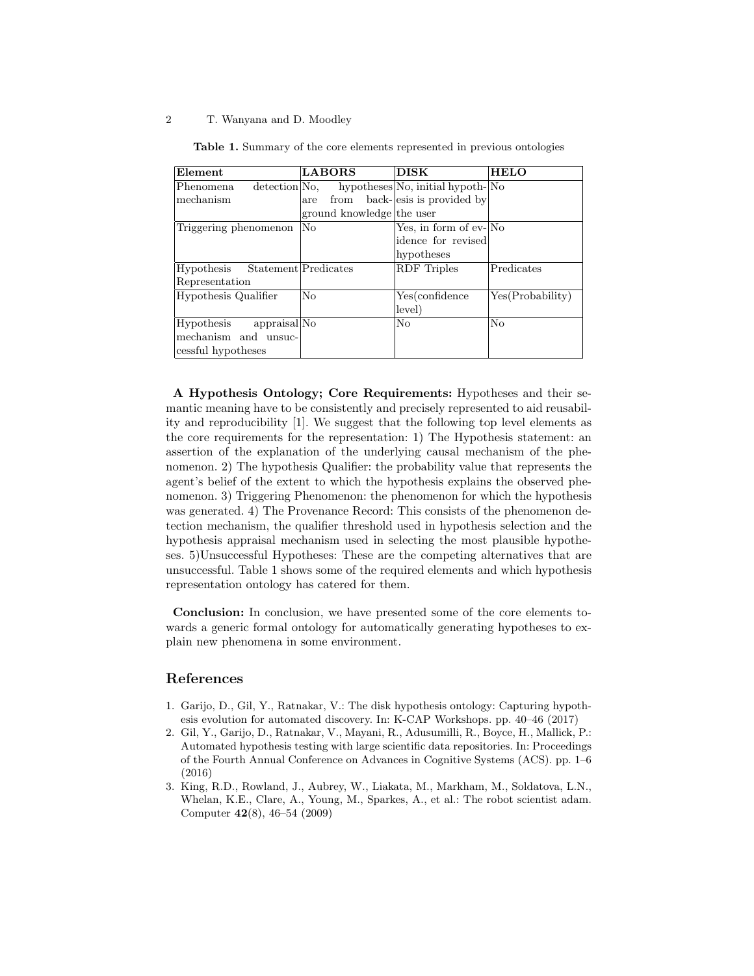## 2 T. Wanyana and D. Moodley

| Element                     | <b>LABORS</b>             | <b>DISK</b>                      | <b>HELO</b>      |
|-----------------------------|---------------------------|----------------------------------|------------------|
| detection No.<br>Phenomena. |                           | hypotheses No, initial hypoth-No |                  |
| mechanism                   | are                       | from back-esis is provided by    |                  |
|                             | ground knowledge the user |                                  |                  |
| Triggering phenomenon       | N <sub>o</sub>            | Yes, in form of ev-No            |                  |
|                             |                           | idence for revised               |                  |
|                             |                           | hypotheses                       |                  |
| Hypothesis                  | Statement Predicates      | <b>RDF</b> Triples               | Predicates       |
| Representation              |                           |                                  |                  |
| Hypothesis Qualifier        | No                        | Yes(confidence                   | Yes(Probability) |
|                             |                           | level)                           |                  |
| appraisal No<br>Hypothesis  |                           | No                               | No               |
| mechanism and unsuc-        |                           |                                  |                  |
| cessful hypotheses          |                           |                                  |                  |

Table 1. Summary of the core elements represented in previous ontologies

A Hypothesis Ontology; Core Requirements: Hypotheses and their semantic meaning have to be consistently and precisely represented to aid reusability and reproducibility [1]. We suggest that the following top level elements as the core requirements for the representation: 1) The Hypothesis statement: an assertion of the explanation of the underlying causal mechanism of the phenomenon. 2) The hypothesis Qualifier: the probability value that represents the agent's belief of the extent to which the hypothesis explains the observed phenomenon. 3) Triggering Phenomenon: the phenomenon for which the hypothesis was generated. 4) The Provenance Record: This consists of the phenomenon detection mechanism, the qualifier threshold used in hypothesis selection and the hypothesis appraisal mechanism used in selecting the most plausible hypotheses. 5)Unsuccessful Hypotheses: These are the competing alternatives that are unsuccessful. Table 1 shows some of the required elements and which hypothesis representation ontology has catered for them.

Conclusion: In conclusion, we have presented some of the core elements towards a generic formal ontology for automatically generating hypotheses to explain new phenomena in some environment.

## References

- 1. Garijo, D., Gil, Y., Ratnakar, V.: The disk hypothesis ontology: Capturing hypothesis evolution for automated discovery. In: K-CAP Workshops. pp. 40–46 (2017)
- 2. Gil, Y., Garijo, D., Ratnakar, V., Mayani, R., Adusumilli, R., Boyce, H., Mallick, P.: Automated hypothesis testing with large scientific data repositories. In: Proceedings of the Fourth Annual Conference on Advances in Cognitive Systems (ACS). pp. 1–6 (2016)
- 3. King, R.D., Rowland, J., Aubrey, W., Liakata, M., Markham, M., Soldatova, L.N., Whelan, K.E., Clare, A., Young, M., Sparkes, A., et al.: The robot scientist adam. Computer 42(8), 46–54 (2009)